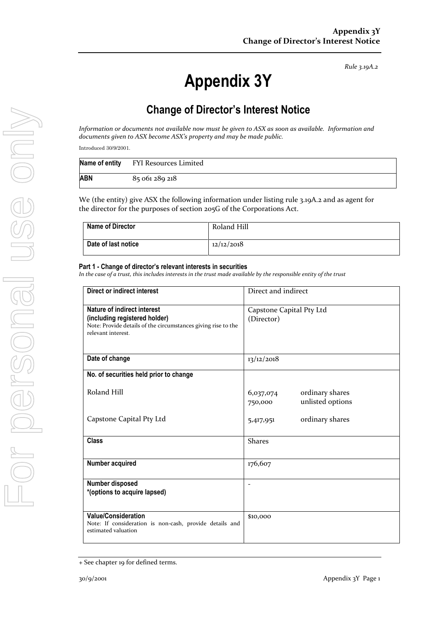*Rule 3.19A.2*

# **Appendix 3Y**

# **Change of Director's Interest Notice**

*Information or documents not available now must be given to ASX as soon as available. Information and documents given to ASX become ASX's property and may be made public.*

Introduced 30/9/2001.

|     | Name of entity FYI Resources Limited |
|-----|--------------------------------------|
| ABN | 85 061 289 218                       |

We (the entity) give ASX the following information under listing rule 3.19A.2 and as agent for the director for the purposes of section 205G of the Corporations Act.

| <b>Name of Director</b> | Roland Hill |
|-------------------------|-------------|
| Date of last notice     | 12/12/2018  |

#### **Part 1 - Change of director's relevant interests in securities**

*In the case of a trust, this includes interests in the trust made available by the responsible entity of the trust*

| Direct or indirect interest                                                                                                                         | Direct and indirect                                         |  |
|-----------------------------------------------------------------------------------------------------------------------------------------------------|-------------------------------------------------------------|--|
| Nature of indirect interest<br>(including registered holder)<br>Note: Provide details of the circumstances giving rise to the<br>relevant interest. | Capstone Capital Pty Ltd<br>(Director)                      |  |
| Date of change                                                                                                                                      | 13/12/2018                                                  |  |
| No. of securities held prior to change                                                                                                              |                                                             |  |
| Roland Hill                                                                                                                                         | ordinary shares<br>6,037,074<br>unlisted options<br>750,000 |  |
| Capstone Capital Pty Ltd                                                                                                                            | ordinary shares<br>5,417,951                                |  |
| <b>Class</b>                                                                                                                                        | <b>Shares</b>                                               |  |
| Number acquired                                                                                                                                     | 176,607                                                     |  |
| Number disposed<br>*(options to acquire lapsed)                                                                                                     | $\blacksquare$                                              |  |
| <b>Value/Consideration</b><br>Note: If consideration is non-cash, provide details and<br>estimated valuation                                        | \$10,000                                                    |  |

<sup>+</sup> See chapter 19 for defined terms.